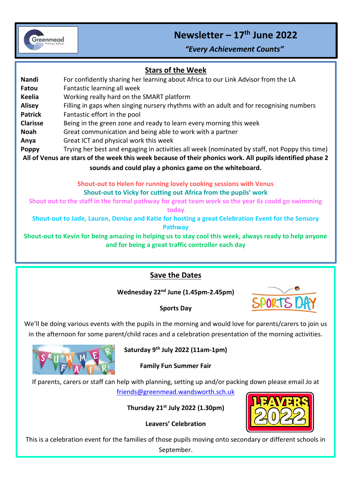

# **Newsletter – 17 th June 2022**

*"Every Achievement Counts"*

# I **Stars of the Week**

**Nandi** For confidently sharing her learning about Africa to our Link Advisor from the LA **Fatou** Fantastic learning all week **Keelia** Working really hard on the SMART platform **Alisey** Filling in gaps when singing nursery rhythms with an adult and for recognising numbers **Patrick** Fantastic effort in the pool **Clarisse** Being in the green zone and ready to learn every morning this week **Noah** Great communication and being able to work with a partner **Anya** Great ICT and physical work this week **Poppy** Trying her best and engaging in activities all week (nominated by staff, not Poppy this time) **All of Venus are stars of the week this week because of their phonics work. All pupils identified phase 2 sounds and could play a phonics game on the whiteboard. Shout-out to Helen for running lovely cooking sessions with Venus Shout-out to Vicky for cutting out Africa from the pupils' work**

**Shout out to the staff in the formal pathway for great team work so the year 6s could go swimming** 

**today**

**Shout-out to Jade, Lauren, Denise and Katie for hosting a great Celebration Event for the Sensory Pathway**

**Shout-out to Kevin for being amazing in helping us to stay cool this week, always ready to help anyone and for being a great traffic controller each day**

# **Save the Dates**

**Wednesday 22nd June (1.45pm-2.45pm)**



#### **Sports Day**

We'll be doing various events with the pupils in the morning and would love for parents/carers to join us in the afternoon for some parent/child races and a celebration presentation of the morning activities.



**Saturday 9th July 2022 (11am-1pm)**

### **Family Fun Summer Fair**

If parents, carers or staff can help with planning, setting up and/or packing down please email Jo at [friends@greenmead.wandsworth.sch.uk](mailto:friends@greenmead.wandsworth.sch.uk)

**Thursday 21st July 2022 (1.30pm)**

**Leavers' Celebration**



This is a celebration event for the families of those pupils moving onto secondary or different schools in September.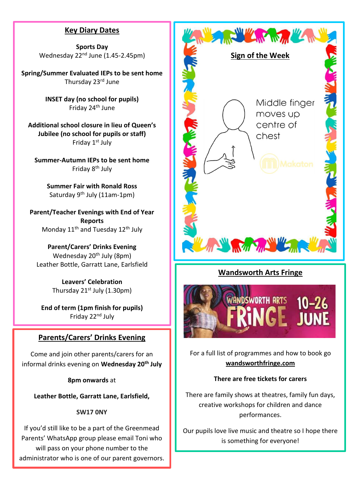# **Key Diary Dates**

**Sports Day** Wednesday 22<sup>nd</sup> June (1.45-2.45pm)

**Spring/Summer Evaluated IEPs to be sent home** Thursday 23rd June

> **INSET day (no school for pupils)** Friday 24th June

**Additional school closure in lieu of Queen's Jubilee (no school for pupils or staff)** Friday 1st July

**Summer-Autumn IEPs to be sent home** Friday 8th July

> **Summer Fair with Ronald Ross** Saturday 9<sup>th</sup> July (11am-1pm)

**Parent/Teacher Evenings with End of Year Reports** Monday 11<sup>th</sup> and Tuesday 12<sup>th</sup> July

**Parent/Carers' Drinks Evening** Wednesday 20<sup>th</sup> July (8pm) Leather Bottle, Garratt Lane, Earlsfield

> **Leavers' Celebration** Thursday  $21^{st}$  July (1.30pm)

**End of term (1pm finish for pupils)** Friday 22nd July

### **Parents/Carers' Drinks Evening**

Come and join other parents/carers for an informal drinks evening on **Wednesday 20th July**

**8pm onwards** at

**Leather Bottle, Garratt Lane, Earlsfield,** 

#### **SW17 0NY**

If you'd still like to be a part of the Greenmead Parents' WhatsApp group please email Toni who will pass on your phone number to the administrator who is one of our parent governors.



# **Wandsworth Arts Fringe**



For a full list of programmes and how to book go **wandsworthfringe.com**

#### **There are free tickets for carers**

There are family shows at theatres, family fun days, creative workshops for children and dance performances.

Our pupils love live music and theatre so I hope there is something for everyone!